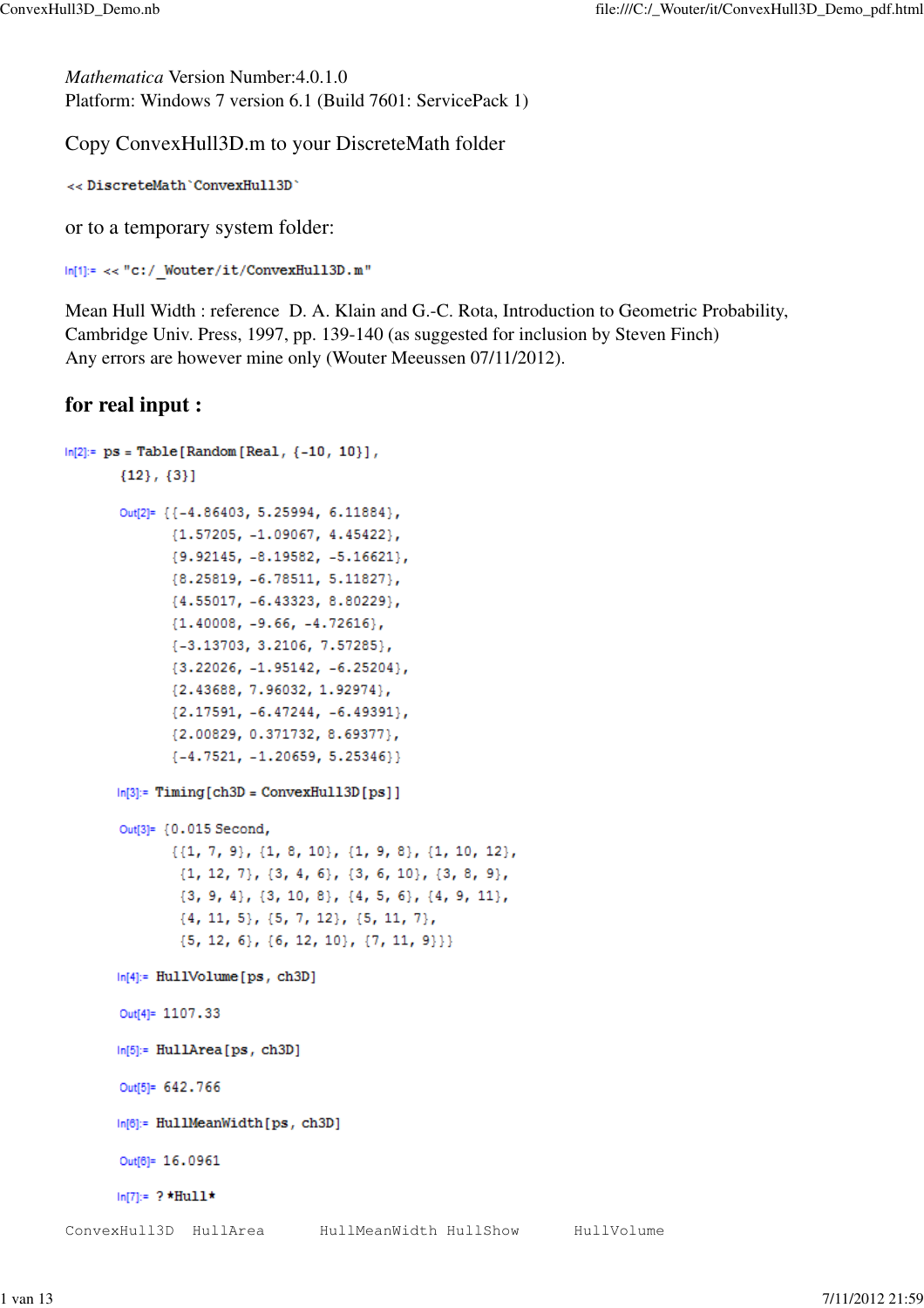*Mathematica* Version Number:4.0.1.0 Platform: Windows 7 version 6.1 (Build 7601: ServicePack 1)

Copy ConvexHull3D.m to your DiscreteMath folder

<< DiscreteMath 'ConvexHull3D'

or to a temporary system folder:

 $\label{eq:in} \begin{aligned} \mathsf{In}[1] &\models\prec\prec\text{"c:}/\text{\_Wouter/it}/\text{ConvexHull3D.m}\end{aligned}$ 

Mean Hull Width : reference D. A. Klain and G.-C. Rota, Introduction to Geometric Probability, Cambridge Univ. Press, 1997, pp. 139-140 (as suggested for inclusion by Steven Finch) Any errors are however mine only (Wouter Meeussen 07/11/2012).

## **for real input :**

```
ln[2]:= ps = Table [Random [Real, {-10, 10}],
       {12}, {3}Out[2]= {{-4.86403, 5.25994, 6.11884},
              {1.57205, -1.09067, 4.45422},{9.92145, -8.19582, -5.16621}{8.25819, -6.78511, 5.11827}{4.55017, -6.43323, 8.80229},{1.40008, -9.66, -4.72616}\{-3.13703, 3.2106, 7.57285\}{3.22026, -1.95142, -6.25204},{2.43688, 7.96032, 1.92974},{2.17591, -6.47244, -6.49391},{2.00829, 0.371732, 8.69377},\{-4.7521, -1.20659, 5.25346\}\}ln[3]:= Timing [ch3D = ConvexHull3D [ps]]
       Out[3]= {0.015 Second,
              \{\{1, 7, 9\}, \{1, 8, 10\}, \{1, 9, 8\}, \{1, 10, 12\},\\{1, 12, 7\}, \{3, 4, 6\}, \{3, 6, 10\}, \{3, 8, 9\},\{3, 9, 4\}, \{3, 10, 8\}, \{4, 5, 6\}, \{4, 9, 11\},{4, 11, 5}, {5, 7, 12}, {5, 11, 7},\{5, 12, 6\}, \{6, 12, 10\}, \{7, 11, 9\}\}ln[4]:= HullVolume[ps, ch3D]Out[4]= 1107.33
       ln[5]:= HullArea[ps, ch3D]
       Out[5]= 642.766
       In[6]:= HullMeanWidth[ps, ch3D]
       Out[6]= 16.0961
       ln[7]= ? *Hull*
ConvexHull3D HullArea HullMeanWidth HullShow HullVolume
```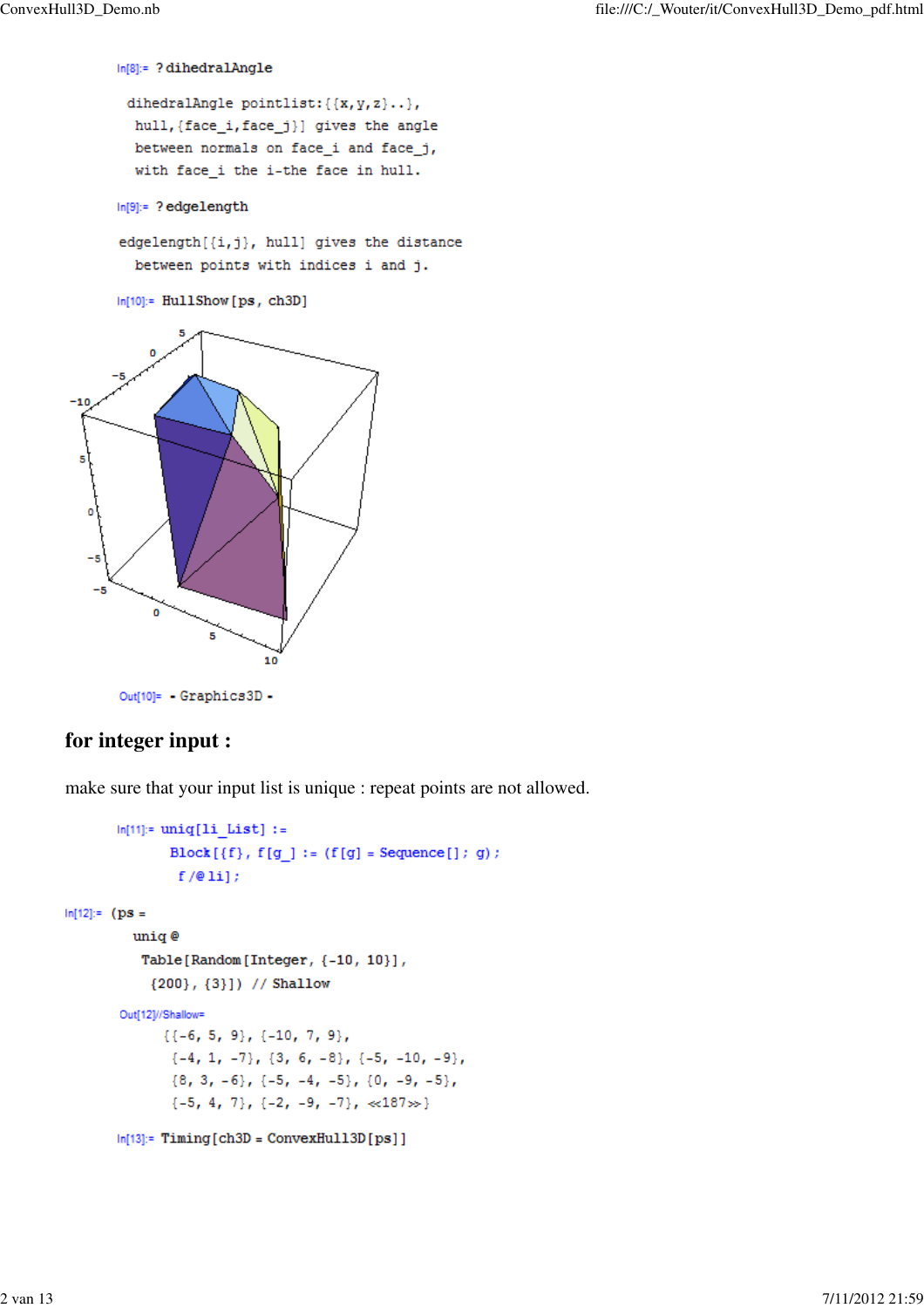$In[8]:= ? dihedralAngle$ 

```
dihedralAngle pointlist: { {x, y, z } . },
hull, {face_i, face_j}} gives the angle
between normals on face_i and face_j,
with face_i the i-the face in hull.
```
 $\ln[9]=$  ? edgelength

edgelength[{i,j}, hull] gives the distance between points with indices i and j.

 $ln[10]$ := HullShow [ps, ch3D]



Out[10]= Graphics3D-

# **for integer input :**

make sure that your input list is unique : repeat points are not allowed.

```
ln[11]= uniq[1i List] :=
               Block [{f}, f[g] := ({f[g]} = Sequence[] ; g);f/\mathbf{0}li];
ln[12]:= (ps =
         uniq @
           Table[Random[Integer, {-10, 10}],
            {200}, {3}]) // Shallow
        Out[12]//Shallow=
              {(-6, 5, 9}, {-10, 7, 9},\{-4, 1, -7\}, \{3, 6, -8\}, \{-5, -10, -9\},{8, 3, -6}, {-5, -4, -5}, {0, -9, -5},\{-5, 4, 7\}, \{-2, -9, -7\}, \ll 187 \gg\}ln[13]= Timing [ch3D = ConvexHull3D [ps]]
```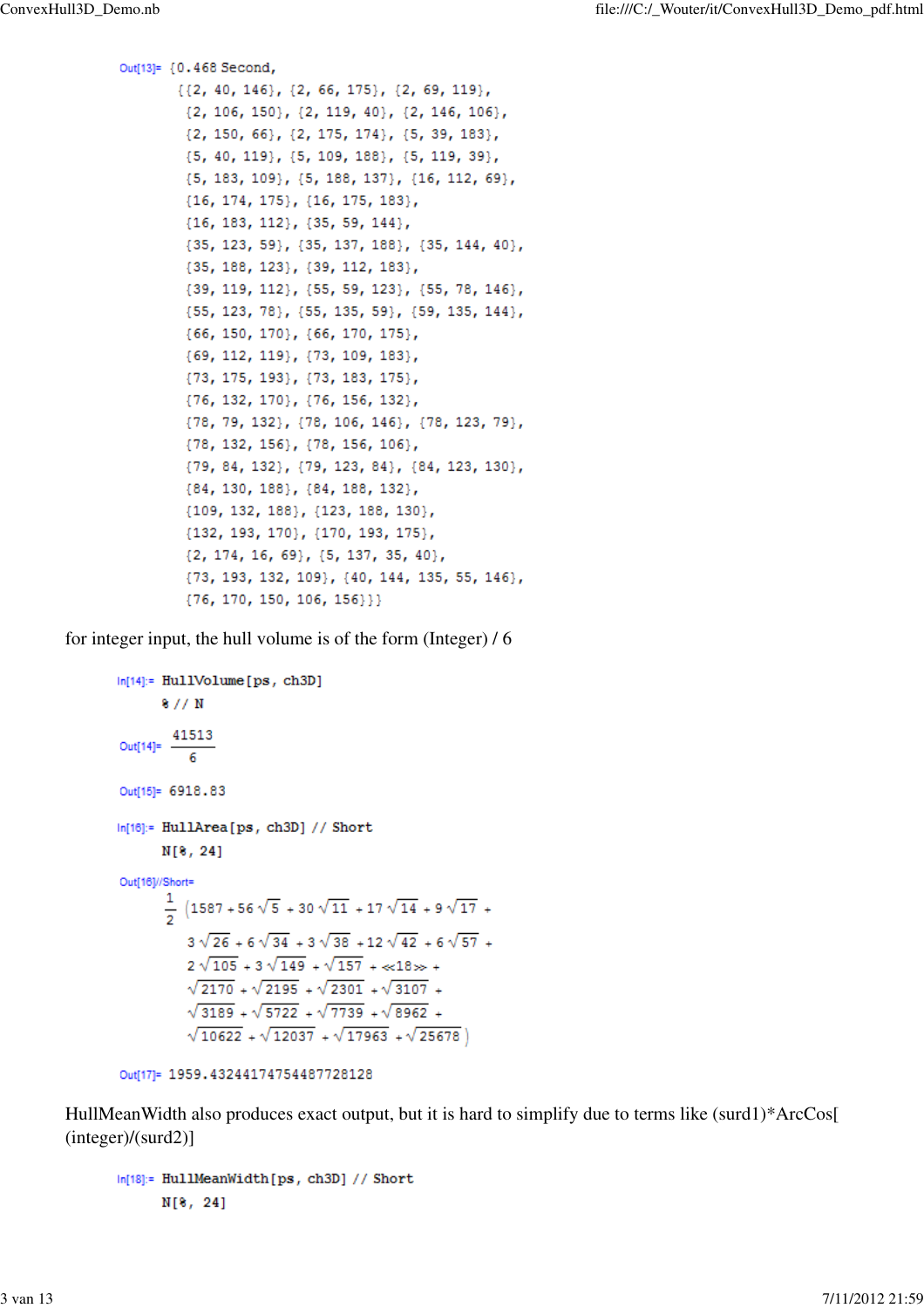```
Out[13]= {0.468 Second,
       \{\{2, 40, 146\}, \{2, 66, 175\}, \{2, 69, 119\},\\{2, 106, 150\}, \{2, 119, 40\}, \{2, 146, 106\},\{2, 150, 66\}, \{2, 175, 174\}, \{5, 39, 183\},{5, 40, 119}, {5, 109, 188}, {5, 119, 39},
        {5, 183, 109}, {5, 188, 137}, {16, 112, 69},
        {16, 174, 175}, {16, 175, 183},{16, 183, 112}, {35, 59, 144},{35, 123, 59}, {35, 137, 188}, {35, 144, 40},
        {35, 188, 123}, {39, 112, 183},
        {39, 119, 112}, {55, 59, 123}, {55, 78, 146},
        {55, 123, 78}, {55, 135, 59}, {59, 135, 144},
        {66, 150, 170}, {66, 170, 175},{69, 112, 119}, {73, 109, 183},
        {73, 175, 193}, {73, 183, 175},{76, 132, 170}, {76, 156, 132},
        {78, 79, 132}, {78, 106, 146}, {78, 123, 79},
        {78, 132, 156}, {78, 156, 106},
        {79, 84, 132}, {79, 123, 84}, {84, 123, 130},
        {84, 130, 188}, {84, 188, 132},{109, 132, 188}, {123, 188, 130},
        {132, 193, 170}, {170, 193, 175},
        \{2, 174, 16, 69\}, \{5, 137, 35, 40\},{73, 193, 132, 109}, {40, 144, 135, 55, 146},
         {76, 170, 150, 106, 156}}}
```
for integer input, the hull volume is of the form (Integer) / 6

```
In[14]:= HullVolume[ps, ch3D]
        8 // N
Out[14]= \frac{41513}{6}Out[15]= 6918.83
In[16]:= HullArea[ps, ch3D] // Short
        N[8, 24]Out[16]//Short=
        \frac{1}{2} (1587+56\sqrt{5} + 30\sqrt{11} + 17\sqrt{14} + 9\sqrt{17} +
             3\sqrt{26} + 6\sqrt{34} + 3\sqrt{38} + 12\sqrt{42} + 6\sqrt{57} +2\sqrt{105} + 3\sqrt{149} + \sqrt{157} + \infty 18 >> +
             \sqrt{2170} + \sqrt{2195} + \sqrt{2301} + \sqrt{3107} +\sqrt{3189} + \sqrt{5722} + \sqrt{7739} + \sqrt{8962} +\sqrt{10622} + \sqrt{12037} + \sqrt{17963} + \sqrt{25678}
```

```
Out[17]= 1959.43244174754487728128
```
HullMeanWidth also produces exact output, but it is hard to simplify due to terms like (surd1)\*ArcCos[ (integer)/(surd2)]

```
In[18]:= HullMeanWidth[ps, ch3D] // Short
      N[8, 24]
```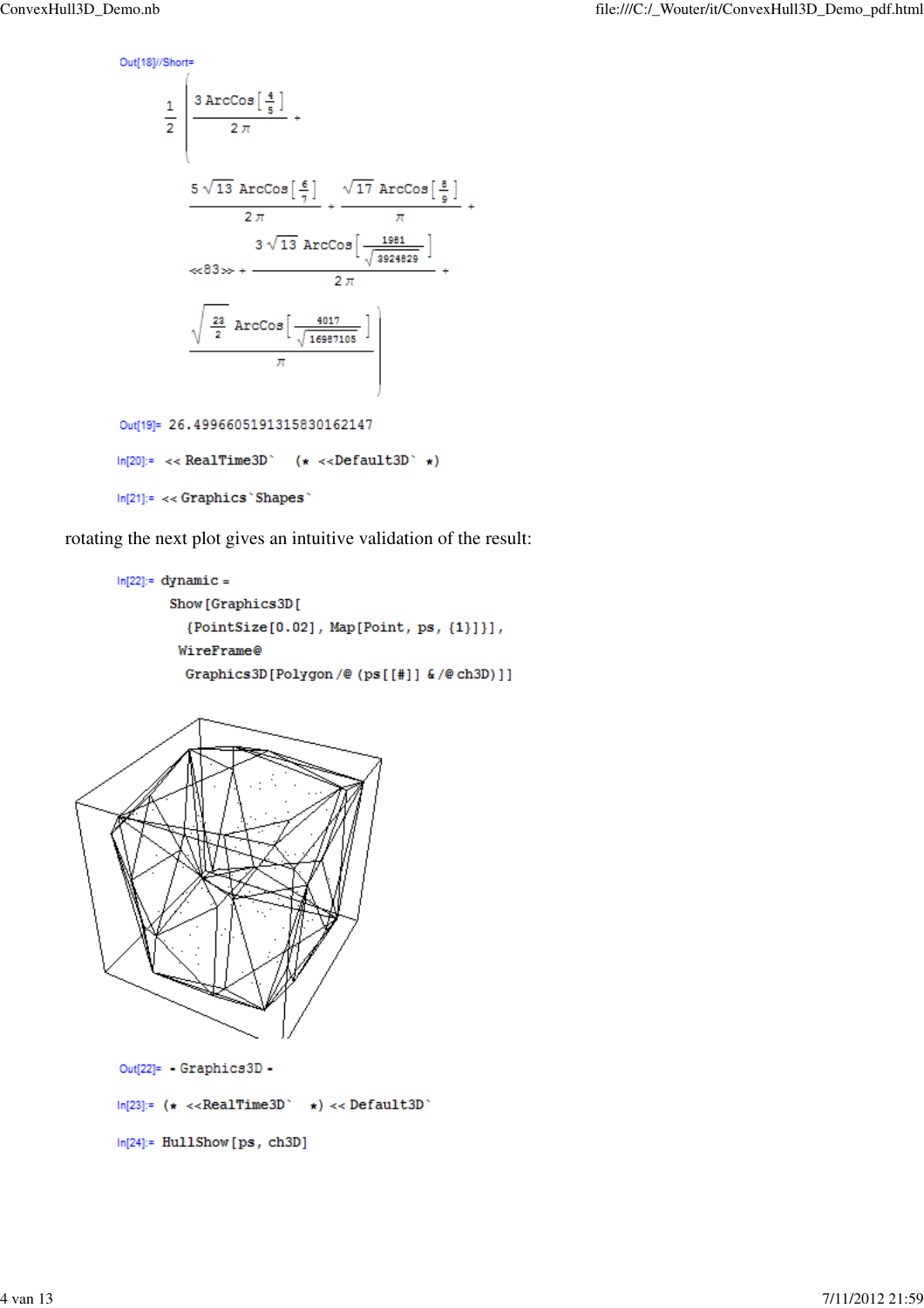Out[18]//Short=

$$
\frac{1}{2} \frac{3 \text{ ArCos} \left[\frac{4}{5}\right]}{2 \pi} + \frac{5 \sqrt{13} \text{ ArCos} \left[\frac{6}{7}\right]}{2 \pi} + \frac{\sqrt{17} \text{ ArCos} \left[\frac{8}{9}\right]}{\pi} + \frac{3 \sqrt{13} \text{ ArCos} \left[\frac{1981}{\sqrt{3924829}}\right]}{2 \pi} + \frac{3 \sqrt{13} \text{ ArCos} \left[\frac{1981}{\sqrt{3924829}}\right]}{2 \pi} + \frac{\sqrt{\frac{23}{2}} \text{ ArCos} \left[\frac{4017}{\sqrt{16987105}}\right]}{\pi}
$$
\nOut[19]= 26.4996605191315830162147\nIn[20]:= < RealTime3D \t (x < Default3D \t x)

 $ln[21]=\prec\prec$  Graphics `Shapes`

rotating the next plot gives an intuitive validation of the result:

```
ln[22]:= dynamic =
      Show[Graphics3D]
        {PointSize[0.02], Map[Point, ps, {1}]}],
       WireFrame@
        Graphics3D[Polygon/@(ps[[#]] &/@ch3D)]]
```


```
ln[24]: HullShow [ps, ch3D]
```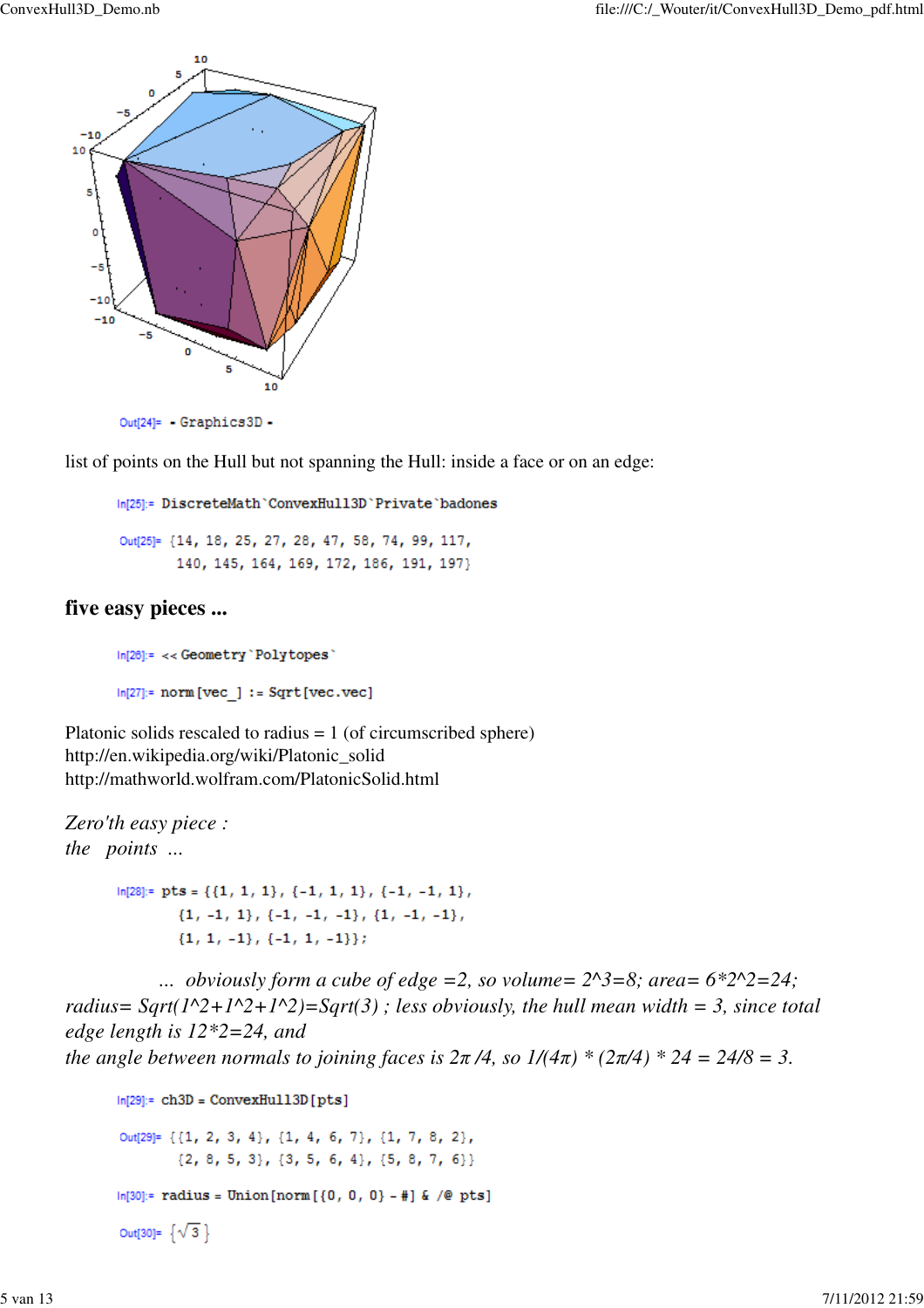

 $Out[24] = -Graphics3D -$ 

list of points on the Hull but not spanning the Hull: inside a face or on an edge:

In[25]:= DiscreteMath`ConvexHull3D`Private`badones

Out[25]= {14, 18, 25, 27, 28, 47, 58, 74, 99, 117, 140, 145, 164, 169, 172, 186, 191, 197}

## **five easy pieces ...**

 $In [26]: = \prec\prec \texttt{Geometry}$  'Polytopes'  $ln[27]$ := norm [vec ] := Sqrt[vec.vec]

Platonic solids rescaled to radius  $= 1$  (of circumscribed sphere) http://en.wikipedia.org/wiki/Platonic\_solid http://mathworld.wolfram.com/PlatonicSolid.html

*Zero'th easy piece : the points ...*

> $\ln[28] := \text{pts} = \{ \{1\text{, }1\text{, }1\} \text{, } \{-1\text{, }1\text{, }1\} \text{, } \{-1\text{, }-1\text{, }1\} \text{,}$  ${1, -1, 1}, {-1, -1, -1}, {1, -1, -1},$  ${1, 1, -1}, {-1, 1, -1}};$

... *obviously form a cube of edge =2, so volume=*  $2^3 = 8$ *; area=*  $6*2^2 = 24$ *; radius* =  $Sqrt(1^2+1^2+1^2)=Sqrt(3)$ ; less obviously, the hull mean width = 3, since total *edge length is 12\*2=24, and the angle between normals to joining faces is*  $2\pi/4$ *, so*  $1/(4\pi) * (2\pi/4) * 24 = 24/8 = 3$ *.* 

```
ln[29]:= ch3D = ConvexHull3D[pts]
Out[29]= {{1, 2, 3, 4}, {1, 4, 6, 7}, {1, 7, 8, 2},
        \{2, 8, 5, 3\}, \{3, 5, 6, 4\}, \{5, 8, 7, 6\}\ln[30]:= radius = Union[norm[{0, 0, 0} -#] & /@ pts]
Out[30]= \{\sqrt{3}\}
```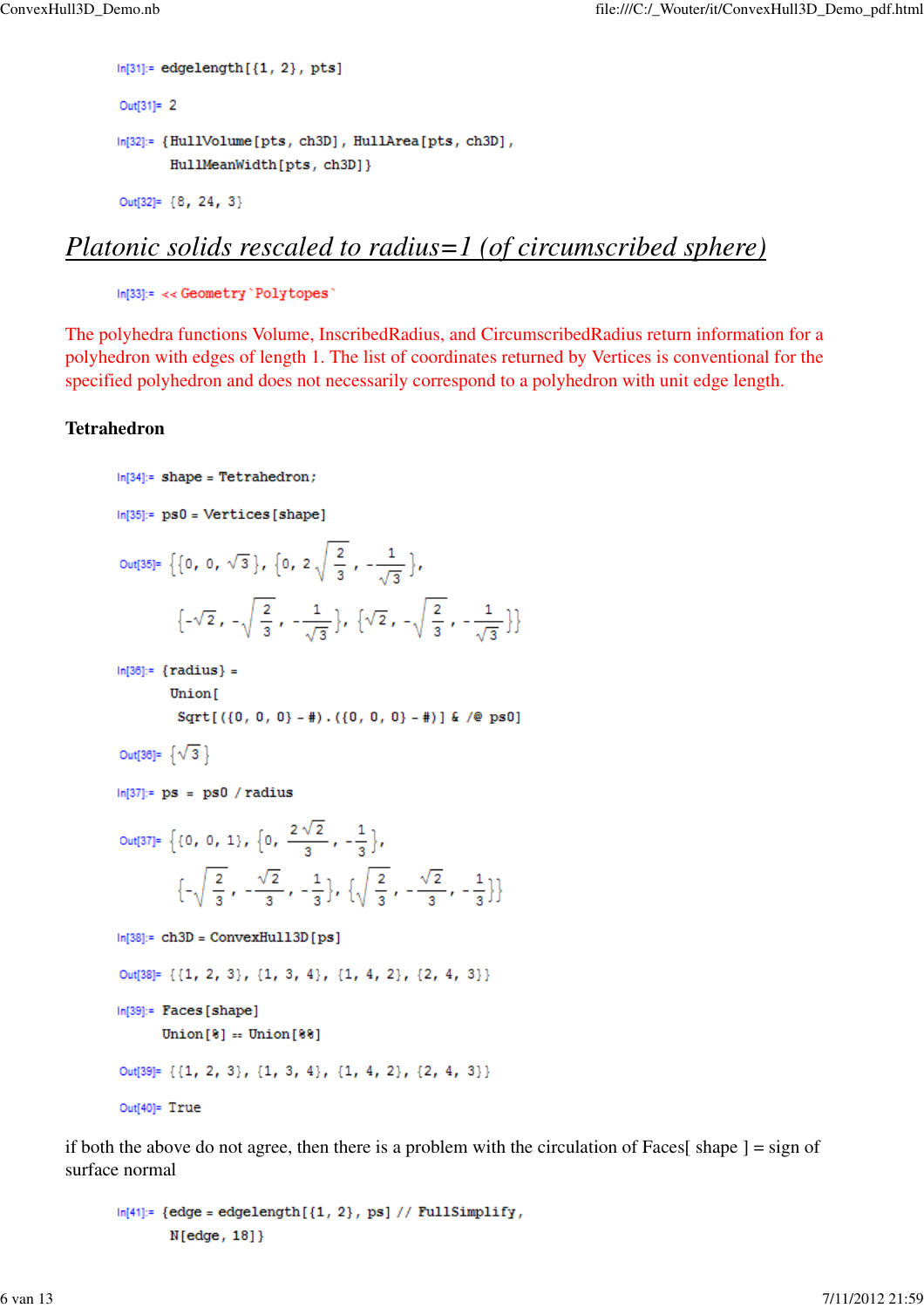```
In [31]:= edgelength[\{1, 2\}, pts]
Out[31]= 2
In[32]:= {HullVolume[pts, ch3D], HullArea[pts, ch3D],
       HullMeanWidth[pts, ch3D]}
Out[32]= {8, 24, 3}
```
# *Platonic solids rescaled to radius=1 (of circumscribed sphere)*

```
In[33]:= << Geometry 'Polytopes'
```
The polyhedra functions Volume, InscribedRadius, and CircumscribedRadius return information for a polyhedron with edges of length 1. The list of coordinates returned by Vertices is conventional for the specified polyhedron and does not necessarily correspond to a polyhedron with unit edge length.

## **Tetrahedron**

```
ln[34]:= shape = Tetrahedron;
ln[35] = ps0 = Vertices[shape]Out[35]= \left\{ \left\{ 0, 0, \sqrt{3} \right\}, \left\{ 0, 2\sqrt{\frac{2}{3}}, -\frac{1}{\sqrt{2}} \right\} \right\}\left\{-\sqrt{2}, -\sqrt{\frac{2}{3}}, -\frac{1}{\sqrt{2}}\right\}, \left\{\sqrt{2}, -\sqrt{\frac{2}{3}}, -\frac{1}{\sqrt{2}}\right\}In [36]: = {radius} =Union [
             Sqrt[(0, 0, 0] - 4) \cdot ((0, 0, 0) - 4)] & /@ ps0]
Out[36]= \{\sqrt{3}\}ln[37]:= ps = ps0 / radius
Out[37]= \{0, 0, 1\}, \{0, \frac{2\sqrt{2}}{3}, -\frac{1}{3}\},\left\{-\sqrt{\frac{2}{3}}, -\frac{\sqrt{2}}{3}, -\frac{1}{3}\right\}, \left\{\sqrt{\frac{2}{3}}, -\frac{\sqrt{2}}{3}, -\frac{1}{3}\right\}ln[38]:= ch3D = ConvexHull3D[ps]Out[38]= {{1, 2, 3}, {1, 3, 4}, {1, 4, 2}, {2, 4, 3}}
In[39]:= Faces [shape]
         Union[8] = Union[88]Out[39]= {{1, 2, 3}, {1, 3, 4}, {1, 4, 2}, {2, 4, 3}}
Out[40]= True
```
if both the above do not agree, then there is a problem with the circulation of Faces  $\vert$  shape  $\vert$  = sign of surface normal

```
In [41]: = {edge = edgelength[{1, 2}, ps] // FullSimplify},N[edge, 18]
```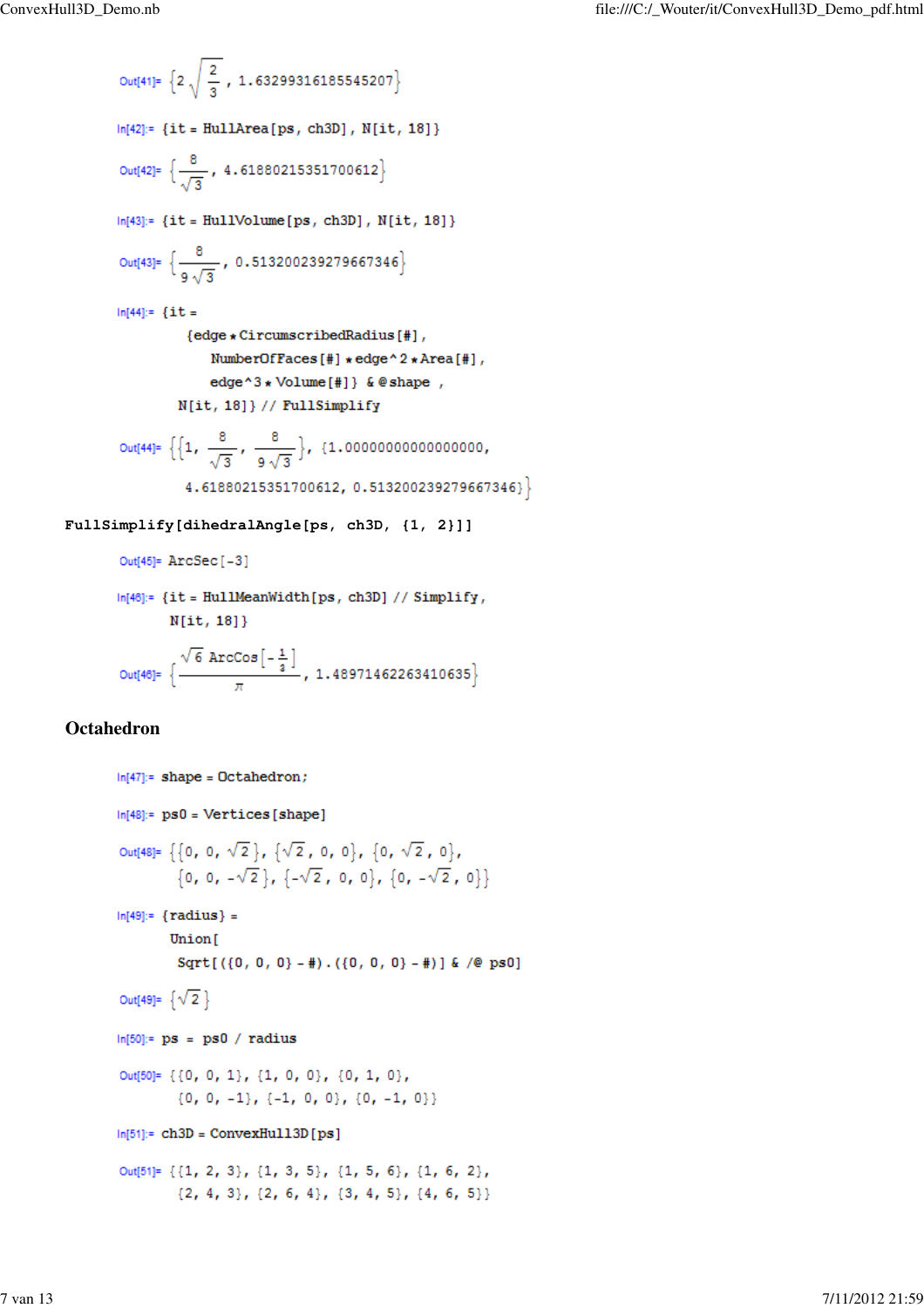**FullSimplify[dihedralAngle[ps, ch3D, {1, 2}]]**

```
In[46]:= {it = HullMeanWidth[ps, ch3D] // Simplify,
          N[i, 18]\}Out[46]= \left\{\frac{\sqrt{6} \text{ Arccos}\left[-\frac{1}{3}\right]}{\pi}, 1.48971462263410635\right\}
```
### **Octahedron**

```
ln[47]: shape = Octahedron;
ln[48]:= ps0 = Vertices[shape]Out[48]= \{\{0, 0, \sqrt{2}\}, \{\sqrt{2}, 0, 0\}, \{0, \sqrt{2}, 0\},\}\{0, 0, -\sqrt{2}\}, \{-\sqrt{2}, 0, 0\}, \{0, -\sqrt{2}, 0\}\}In[49]: = {radius} =Union[
         Sqrt[(0, 0, 0) - 4]. (0, 0, 0) - 4] & /@ ps0]
Out[49]= \{\sqrt{2}\}ln[50]:= ps = ps0 / radius
Out[50]= {{0, 0, 1}, {1, 0, 0}, {0, 1, 0},
         \{0, 0, -1\}, \{-1, 0, 0\}, \{0, -1, 0\}\}ln[51]= ch3D = ConvexHu113D [ps]
Out[51]= {{1, 2, 3}, {1, 3, 5}, {1, 5, 6}, {1, 6, 2},
         \{2, 4, 3\}, \{2, 6, 4\}, \{3, 4, 5\}, \{4, 6, 5\}\}\
```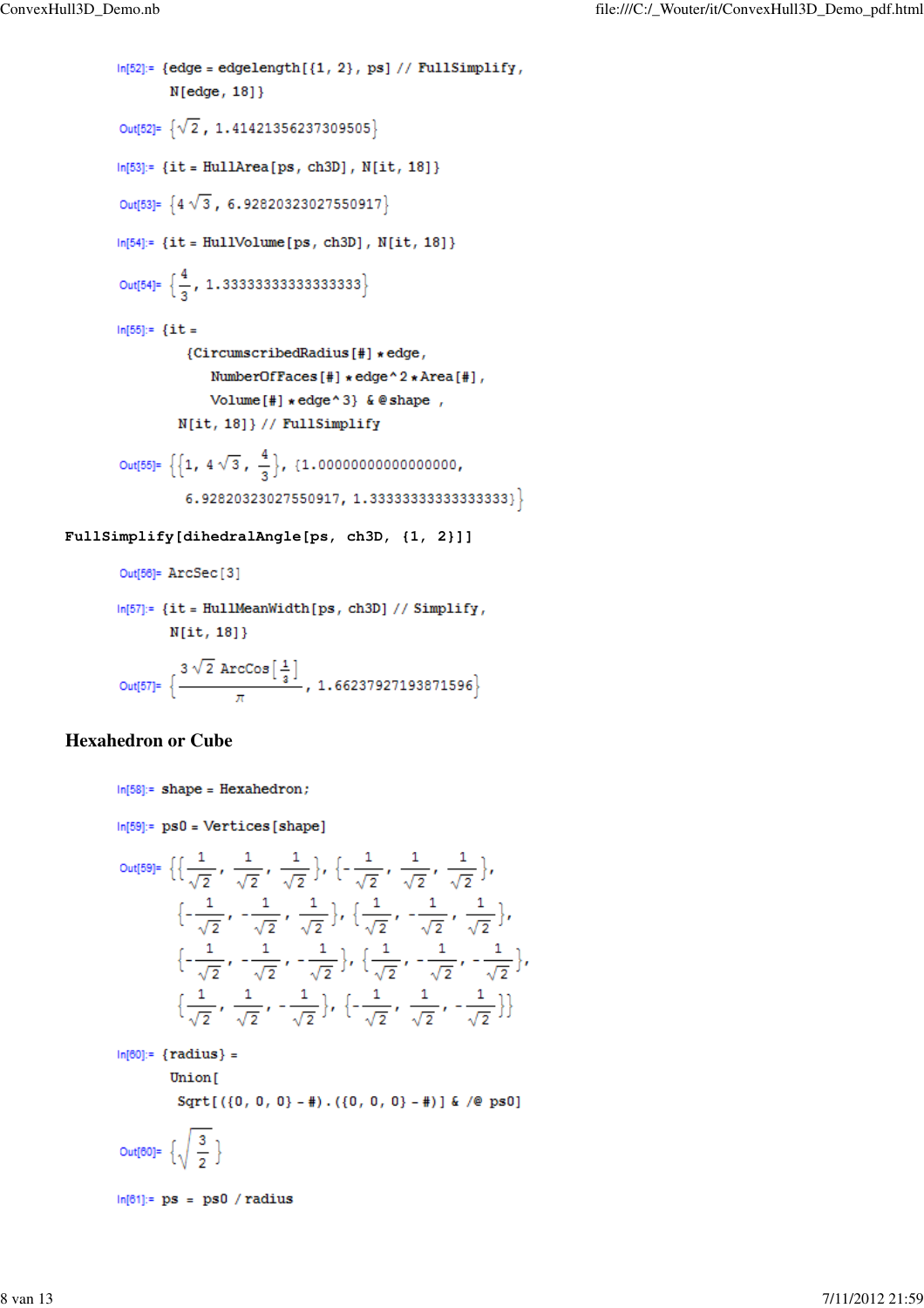```
In [52]: = {edge = edgelength[{1, 2}, ps] // FullSimplify},N[edge, 18]Out[52]= \{\sqrt{2}, 1.41421356237309505\}In [53]: = {it = HullArea[ps, ch3D], N[it, 18]}Out[53]= {4\sqrt{3}, 6.92820323027550917}In [54]: = {it = HullVolume[ps, ch3D], N(it, 18]}Out[54]= \left\{\frac{4}{3}, 1.333333333333333333\right\}In[55]: = {it =}{CircumscribedRadius[#] * edge,
               NumberOfFaces[#] * edge ^ 2 * Area[#],
               Volume[#] \star edge ^ 3} & @ shape,
         N[it, 18]} // FullSimplify
Out[55]= \left\{\left\{1, 4\sqrt{3}, \frac{4}{3}\right\}, \left\{1.000000000000000000\right\}\right\}\{6.92820323027550917, 1.33333333333333333\}
```
**FullSimplify[dihedralAngle[ps, ch3D, {1, 2}]]**

Out[56]= ArcSec[3]

```
ln[57]: = {it = HullMeanWidth[ps, ch3D] // Simplify, }N[it, 18]}
```
Out[57]=  $\left\{\frac{3\sqrt{2}\arccos\left[\frac{1}{3}\right]}{\pi}, 1.66237927193871596\right\}$ 

### **Hexahedron or Cube**

 $In [58]:= shape = Hexahedron;$ 

```
ln[59]:= ps0 = Vertices[shape]
```

$$
\text{Out[59]} = \left\{ \left\{ \frac{1}{\sqrt{2}}, \frac{1}{\sqrt{2}}, \frac{1}{\sqrt{2}} \right\}, \left\{ -\frac{1}{\sqrt{2}}, \frac{1}{\sqrt{2}}, \frac{1}{\sqrt{2}} \right\}, \left\{ -\frac{1}{\sqrt{2}}, -\frac{1}{\sqrt{2}}, \frac{1}{\sqrt{2}} \right\}, \left\{ -\frac{1}{\sqrt{2}}, -\frac{1}{\sqrt{2}}, \frac{1}{\sqrt{2}} \right\}, \left\{ -\frac{1}{\sqrt{2}}, -\frac{1}{\sqrt{2}}, -\frac{1}{\sqrt{2}} \right\}, \left\{ -\frac{1}{\sqrt{2}}, -\frac{1}{\sqrt{2}}, -\frac{1}{\sqrt{2}} \right\}, \left\{ -\frac{1}{\sqrt{2}}, -\frac{1}{\sqrt{2}}, -\frac{1}{\sqrt{2}} \right\} \right\}
$$

 $In [60]: = {radius} =$ Union[ Sqrt[ $({0, 0, 0} - )$  +  $({0, 0, 0} - )$  +  $({0, 0, 0} - )$  +  $({0, 0} - )$ Out[60]=  $\left\{\sqrt{\frac{3}{2}}\right\}$ 

 $ln[61]$ := ps = ps0 / radius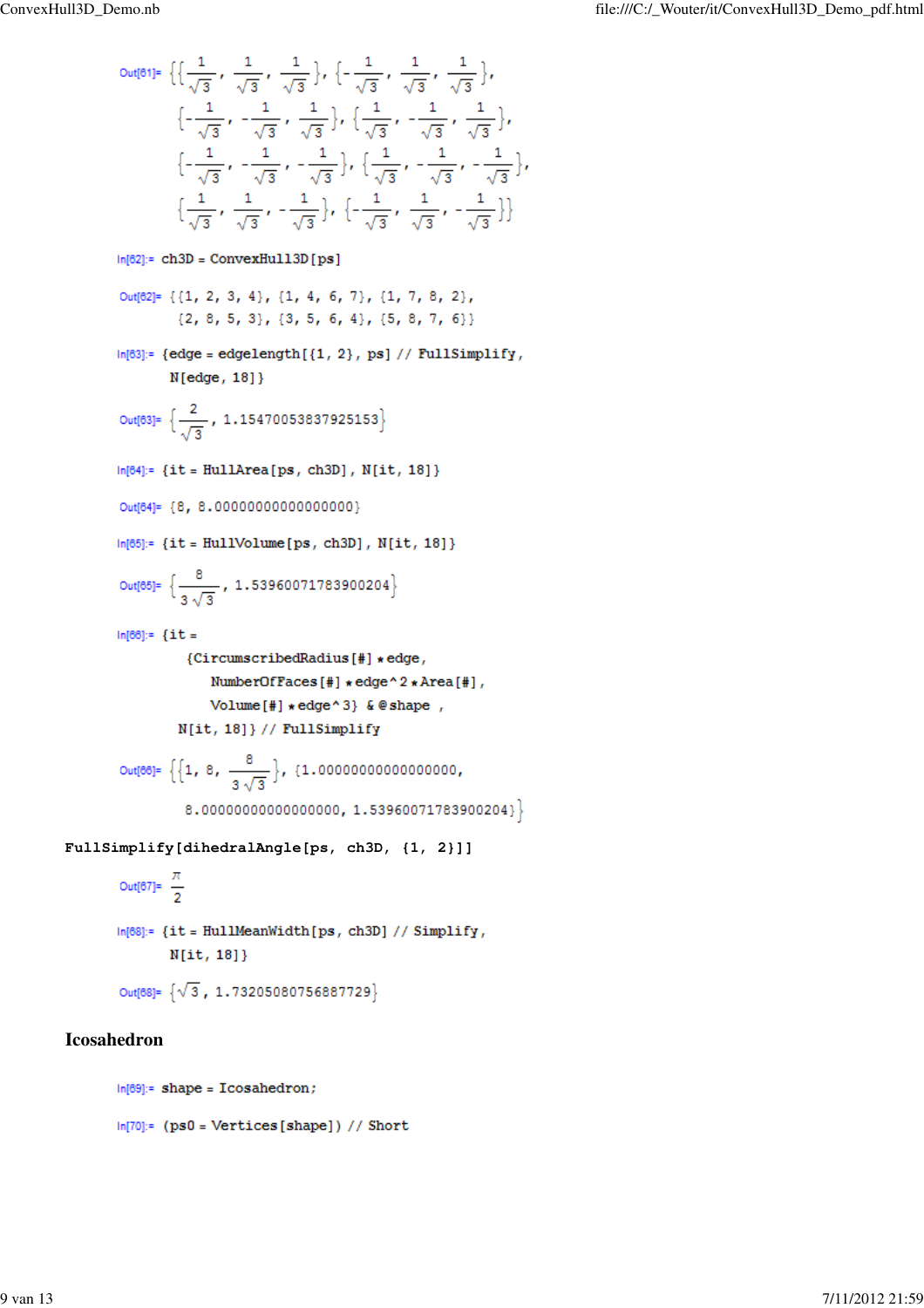Out[61]= { 
$$
\left\{\frac{1}{\sqrt{3}}, \frac{1}{\sqrt{3}}, \frac{1}{\sqrt{3}}, \frac{1}{\sqrt{3}}, \frac{1}{\sqrt{3}}, \frac{1}{\sqrt{3}}, \frac{1}{\sqrt{3}}, \frac{1}{\sqrt{3}}\right\},
$$
  
\n $\left\{-\frac{1}{\sqrt{3}}, -\frac{1}{\sqrt{3}}, \frac{1}{\sqrt{3}}\right\}, \left\{\frac{1}{\sqrt{3}}, -\frac{1}{\sqrt{3}}, -\frac{1}{\sqrt{3}}\right\},$   
\n $\left\{-\frac{1}{\sqrt{3}}, -\frac{1}{\sqrt{3}}, -\frac{1}{\sqrt{3}}\right\}, \left\{-\frac{1}{\sqrt{3}}, -\frac{1}{\sqrt{3}}, -\frac{1}{\sqrt{3}}\right\},$   
\n $\left\{\frac{1}{\sqrt{3}}, \frac{1}{\sqrt{3}}, -\frac{1}{\sqrt{3}}\right\}, \left\{-\frac{1}{\sqrt{3}}, \frac{1}{\sqrt{3}}, -\frac{1}{\sqrt{3}}\right\}$   
\n $\left\{\frac{1}{\sqrt{3}}, \frac{1}{\sqrt{3}}, -\frac{1}{\sqrt{3}}\right\}, \left\{-\frac{1}{\sqrt{3}}, \frac{1}{\sqrt{3}}, -\frac{1}{\sqrt{3}}\right\}\right\}$   
\n $\left\{\text{Out[62]} = \{(1, 2, 3, 4), \{1, 4, 6, 7\}, \{1, 7, 8, 2\},$   
\n $\{2, 8, 5, 3\}, \{3, 5, 6, 4\}, \{5, 8, 7, 6\}\}$   
\n $\left\{\text{in[63]} = \{\text{edge} = \text{edgelength}[(1, 2), \text{ps}] // FullSimplify, Nledge, 18]\}\right\}$   
\n $\left\{\text{Out[64]} = \{\text{in: FullArea[ps, ch3D], N[it, 18]}\}\right\}$   
\n $\left\{\text{Out[65]} = \{\text{it: Full11} \cup \text{blue[ps, ch3D], N[it, 18]}\}\right\}$   
\n $\left\{\text{Out[66]} = \{\text{it: Full12} \cup \text{blue[ps, ch3D], N[it, 18]}\$ 

# **Icosahedron**

 $ln[69]$ := shape = Icosahedron;

```
\textsf{In}[70]\textsf{:=}\ \left(\texttt{ps0}=\texttt{Vertices} \left[\texttt{shape}\right]\right)\textit{ // Short}
```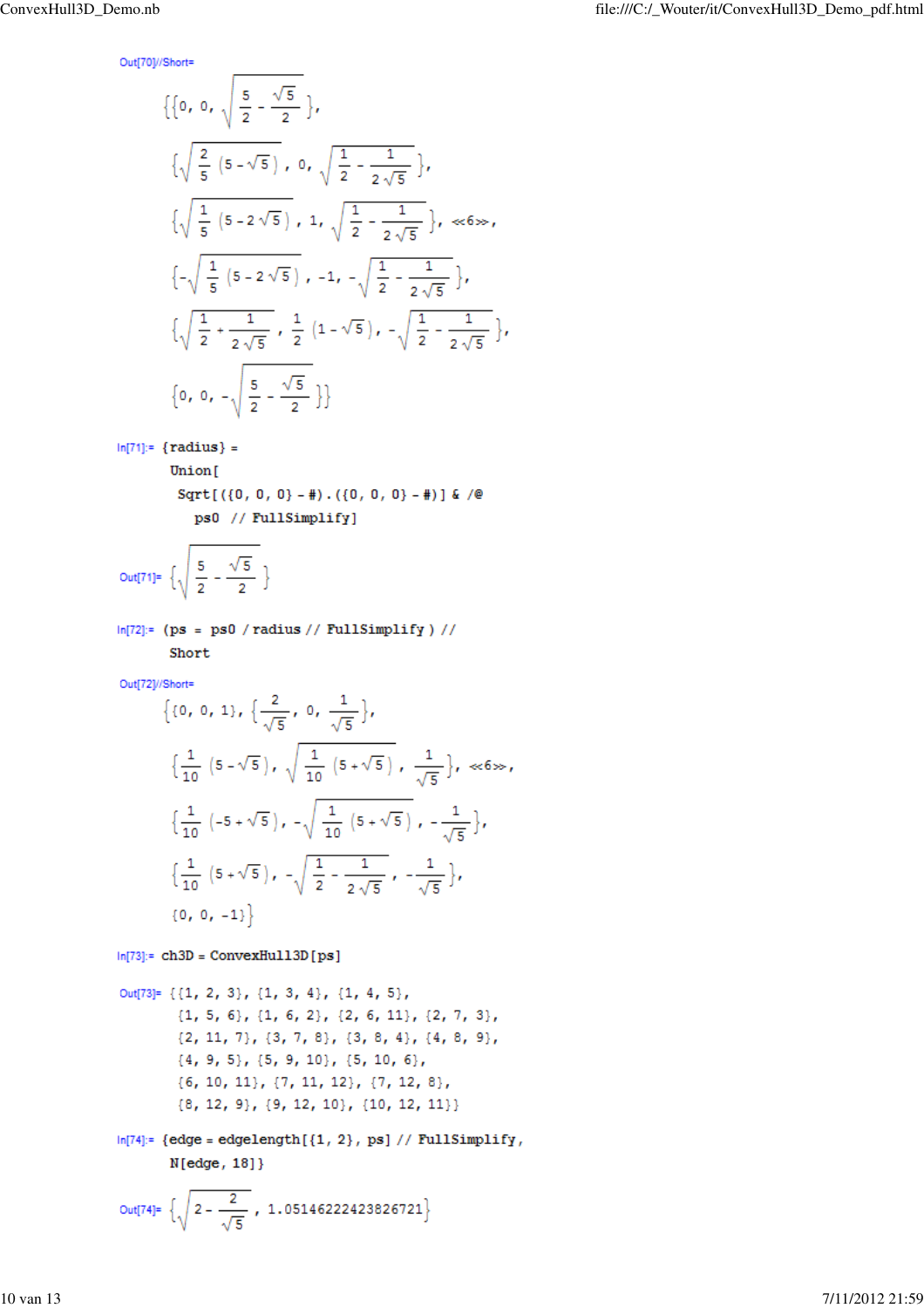Out[70]//Short=

$$
\{\{0, 0, \sqrt{\frac{5}{2} - \frac{\sqrt{5}}{2}}\},\
$$
  

$$
\{\sqrt{\frac{2}{5} (5 - \sqrt{5})}, 0, \sqrt{\frac{1}{2} - \frac{1}{2\sqrt{5}}}\},\
$$
  

$$
\{\sqrt{\frac{1}{5} (5 - 2\sqrt{5})}, 1, \sqrt{\frac{1}{2} - \frac{1}{2\sqrt{5}}}\}, \ll 6\gg,\
$$
  

$$
\{-\sqrt{\frac{1}{5} (5 - 2\sqrt{5})}, -1, -\sqrt{\frac{1}{2} - \frac{1}{2\sqrt{5}}}\},\
$$
  

$$
\{\sqrt{\frac{1}{2} + \frac{1}{2\sqrt{5}}}, \frac{1}{2} (1 - \sqrt{5}), -\sqrt{\frac{1}{2} - \frac{1}{2\sqrt{5}}}\},\
$$
  

$$
\{0, 0, -\sqrt{\frac{5}{2} - \frac{\sqrt{5}}{2}}\}\}
$$

$$
In[71]: = \{radius\} =
$$

Union[

Sqrt[ $({0, 0, 0} - 4)$ . $({0, 0, 0} - 4)$ ] & /@ ps0 // FullSimplify]

$$
\text{Out}[71] = \left\{ \sqrt{\frac{5}{2} - \frac{\sqrt{5}}{2}} \right\}
$$

```
ln[72]:= (ps = ps0 / radius // FullSimplify ) //
```
Short

Out[72]//Short=

$$
\{0, 0, 1\}, \{\frac{2}{\sqrt{5}}, 0, \frac{1}{\sqrt{5}}\},\
$$
  

$$
\{\frac{1}{10} (5-\sqrt{5}), \sqrt{\frac{1}{10} (5+\sqrt{5})}, \frac{1}{\sqrt{5}}\}, \ll 6 \gg 6
$$
  

$$
\{\frac{1}{10} (-5+\sqrt{5}), -\sqrt{\frac{1}{10} (5+\sqrt{5})}, -\frac{1}{\sqrt{5}}\},\
$$
  

$$
\{\frac{1}{10} (5+\sqrt{5}), -\sqrt{\frac{1}{2} - \frac{1}{2\sqrt{5}}}, -\frac{1}{\sqrt{5}}\},\
$$
  

$$
\{0, 0, -1\}\}
$$

 $ln[73]:$  ch3D = ConvexHu113D [ps]

Out[73]= {{1, 2, 3}, {1, 3, 4}, {1, 4, 5},  $\{1, 5, 6\}, \{1, 6, 2\}, \{2, 6, 11\}, \{2, 7, 3\},$  $\{2, 11, 7\}, \{3, 7, 8\}, \{3, 8, 4\}, \{4, 8, 9\},$  $\{4, 9, 5\}, \{5, 9, 10\}, \{5, 10, 6\},$  ${6, 10, 11}, {7, 11, 12}, {7, 12, 8},$  ${8, 12, 9}, {9, 12, 10}, {10, 12, 11}$ 

 $In [74]: = {edge = edgelength[{1, 2}, ps] // FullSimplify},$  $N[edge, 18]\}$ 

Out[74]= 
$$
\left\{\sqrt{2-\frac{2}{\sqrt{5}}}, 1.05146222423826721\right\}
$$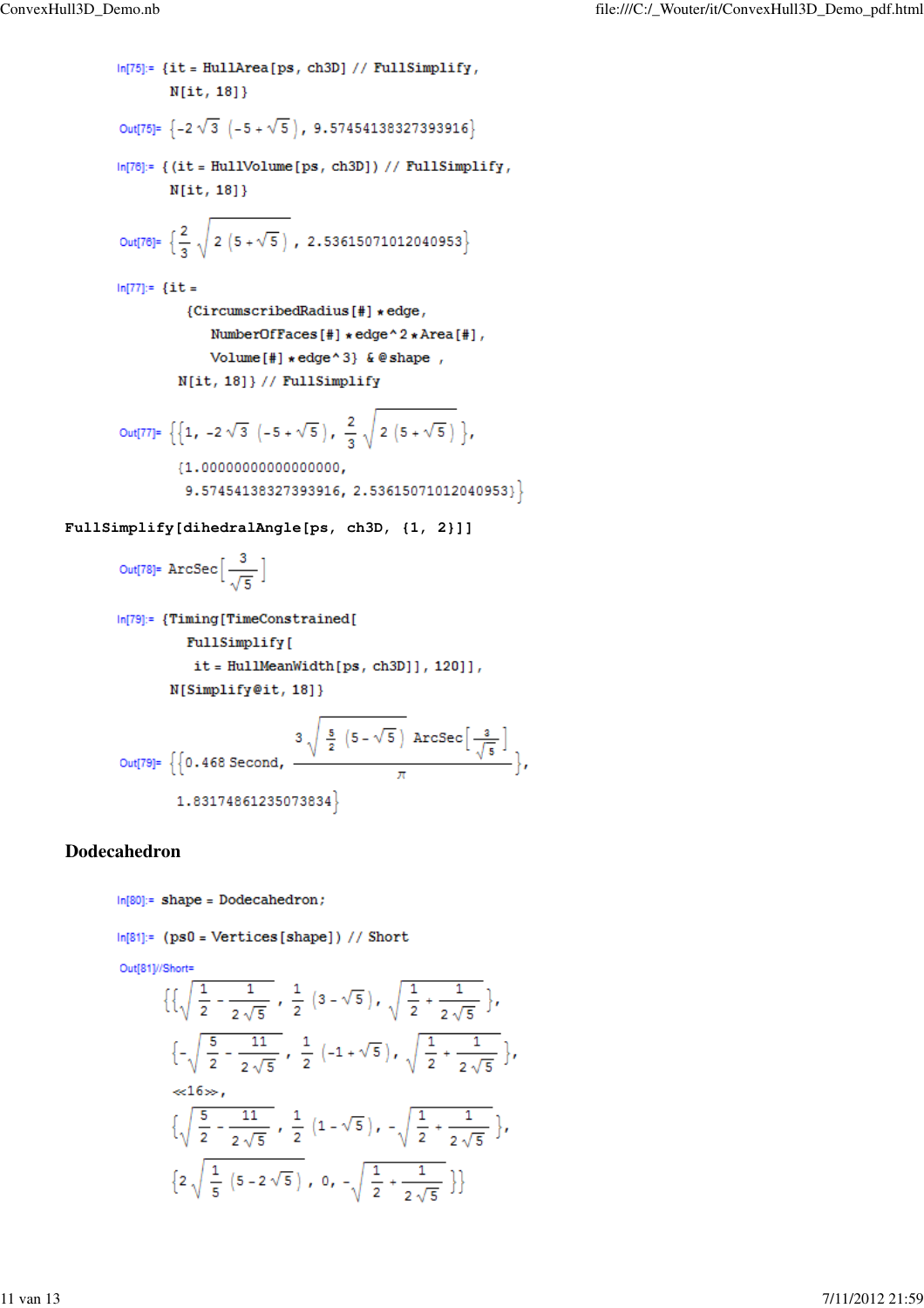```
In[75]:= {it = HullArea[ps, ch3D] // FullSimplify,
                 N[i, 18]\}Out[75]= \{-2\sqrt{3} (-5 + \sqrt{5}), 9.57454138327393916\}ln[76]:= {(it = HullVolume[ps, ch3D]) // FullSimplify,
                 N[i, 18]Out[76]= \left\{\frac{2}{3}\sqrt{2(5+\sqrt{5})}, 2.53615071012040953\right\}ln[77]:= {it =
                    {CircumscribedRadius[#] * edge,
                        NumberOfFaces[#] * edge ^ 2 * Area[#],
                        Volume[#] \star edge ^ 3} & @ shape,
                  N[it, 18]} // FullSimplify
        Out[77]= \left\{ \left\{ 1, -2\sqrt{3} \left( -5 + \sqrt{5} \right), \frac{2}{3} \sqrt{2 \left( 5 + \sqrt{5} \right)} \right\} \right\}{1.00000000000000000}9.57454138327393916, 2.53615071012040953}
FullSimplify[dihedralAngle[ps, ch3D, {1, 2}]]
```

```
Out[78]= ArcSec\left[\frac{3}{\sqrt{5}}\right]
```

```
In[79]:= {Timing[TimeConstrained]
         FullSimplify[
          it = HullMeanWidth[ps, ch3D]], 120]],
      N[Simplify@it, 18]}
```

$$
\text{Out[79]= } \left\{ \left\{ 0.468 \text{ Second, } \frac{3\sqrt{\frac{5}{2}(5-\sqrt{5})}}{\pi} \right\}
$$
\n
$$
1.83174861235073834 \right\}
$$

ï

### **Dodecahedron**

 $In [80]:= shape = Dodecahedron;$ 

```
ln[81]:= (ps0 = Vertices[shape]) // Short
```
Out[81]//Short=

$$
\left\{\left\{\sqrt{\frac{1}{2} - \frac{1}{2\sqrt{5}}}, \frac{1}{2}\left(3 - \sqrt{5}\right), \sqrt{\frac{1}{2} + \frac{1}{2\sqrt{5}}}\right\}, \frac{1}{2\sqrt{5}} - \frac{11}{2\sqrt{5}}, \frac{1}{2}\left(-1 + \sqrt{5}\right), \sqrt{\frac{1}{2} + \frac{1}{2\sqrt{5}}}\right\},\frac{1}{6}
$$
\n
$$
\left\{\sqrt{\frac{5}{2} - \frac{11}{2\sqrt{5}}}, \frac{1}{2}\left(1 - \sqrt{5}\right), -\sqrt{\frac{1}{2} + \frac{1}{2\sqrt{5}}}\right\}, \frac{1}{2\sqrt{5}}\left(5 - 2\sqrt{5}\right), 0, -\sqrt{\frac{1}{2} + \frac{1}{2\sqrt{5}}}\right\}
$$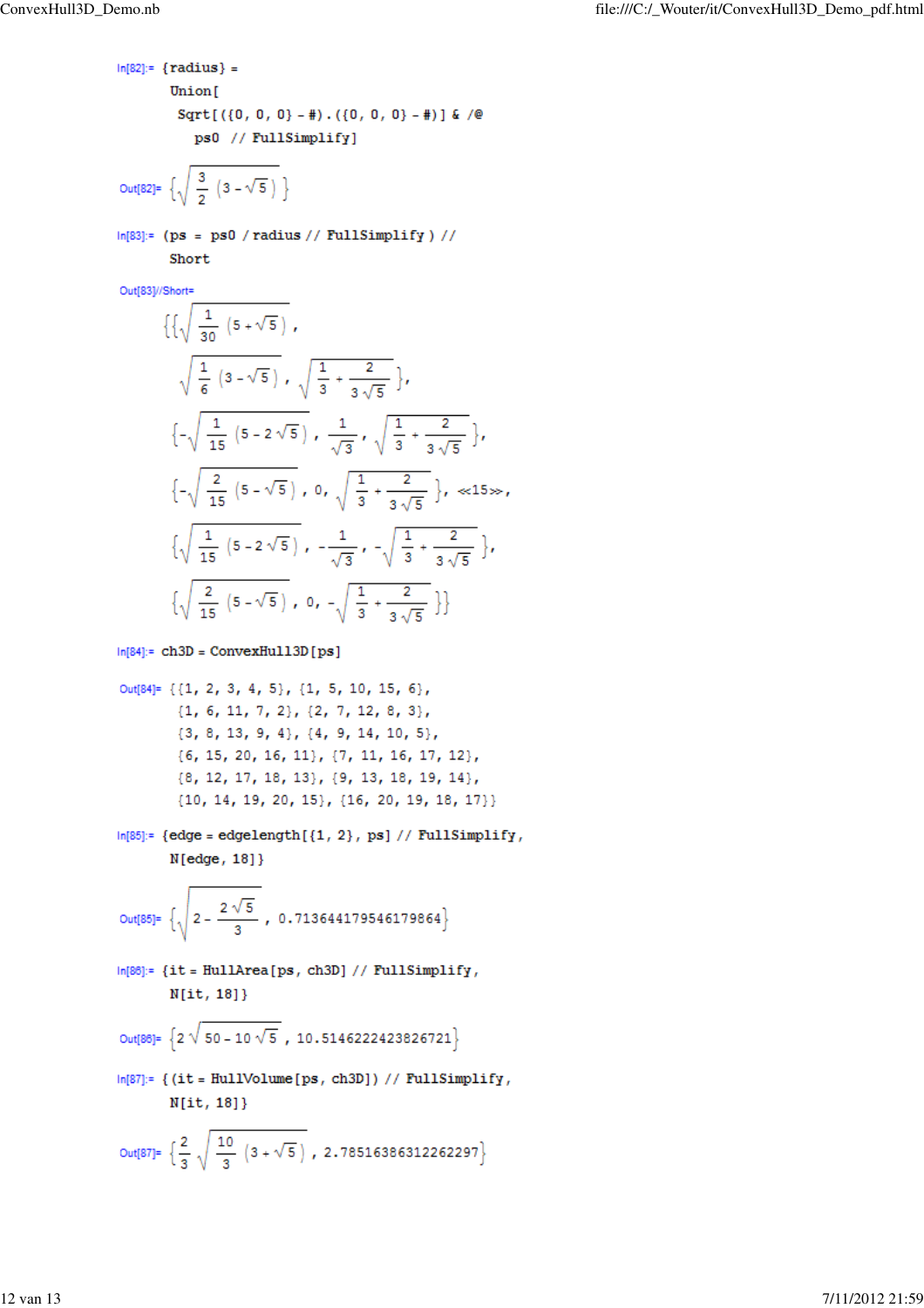```
In [82]: = {radius} =Union[
        Sqrt[({0, 0, 0} - 4).({0, 0, 0} - 4)] & /@
          ps0 // FullSimplify]
```
Out[82]= 
$$
\left\{\sqrt{\frac{3}{2} (3-\sqrt{5})}\right\}
$$

 $In [83]: = (ps = ps0 / radius // FullSimplify) //$ Short

Out[83]//Short=

$$
\left\{\left\{\sqrt{\frac{1}{30}(5+\sqrt{5})}, \sqrt{\frac{1}{3}+\frac{2}{3\sqrt{5}}}\right\}, \frac{1}{\sqrt{15}(5-2\sqrt{5})}, \frac{1}{\sqrt{3}}, \sqrt{\frac{1}{3}+\frac{2}{3\sqrt{5}}}\right\},\
$$
  

$$
\left\{-\sqrt{\frac{1}{15}(5-2\sqrt{5})}, \frac{1}{\sqrt{3}}, \sqrt{\frac{1}{3}+\frac{2}{3\sqrt{5}}}\right\}, \frac{1}{\sqrt{15}(5-\sqrt{5})}, 0, \sqrt{\frac{1}{3}+\frac{2}{3\sqrt{5}}}\right\}, \approx 15 \gg ,
$$
  

$$
\left\{\sqrt{\frac{1}{15}(5-2\sqrt{5})}, -\frac{1}{\sqrt{3}}, -\sqrt{\frac{1}{3}+\frac{2}{3\sqrt{5}}}\right\}, \frac{1}{\sqrt{15}(5-\sqrt{5})}, 0, -\sqrt{\frac{1}{3}+\frac{2}{3\sqrt{5}}}\right\}
$$

 $ln[84]:= ch3D = ConvexHull3D[ps]$ 

 $In [85]: = {edge = edgelength[{1, 2}, ps] // FullSimplify},$  $N[edge, 18]\}$ 

$$
\text{Out[85] = } \left\{ \sqrt{2 - \frac{2\sqrt{5}}{3}}, \ 0.713644179546179864 \right\}
$$

In[86]:= {it = HullArea[ps, ch3D] // FullSimplify,  $N[it, 18]$ 

$$
\text{Out[86]} = \left\{2\sqrt{50 - 10\sqrt{5}} , 10.5146222423826721\right\}
$$

 $\ln[87]$ := {(it = HullVolume[ps, ch3D]) // FullSimplify,  $N[i, 18]\}$ 

$$
\text{Out[87]} = \left\{ \frac{2}{3} \sqrt{\frac{10}{3} (3 + \sqrt{5})}, 2.78516386312262297 \right\}
$$